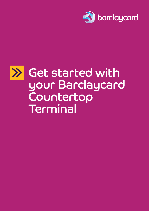

# Get started with  $\gg$ your Barclaycard Countertop **Terminal**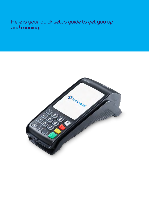Here is your quick setup guide to get you up and running.

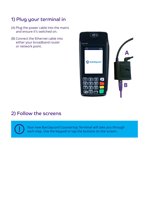### 1) Plug your terminal in

- (A) Plug the power cable into the mains and ensure it's switched on.
- (B) Connect the Ethernet cable into either your broadband router or network point.



### 2) Follow the screens

Your new Barclaycard Countertop Terminal will take you through each step. Use the keypad or tap the buttons on the screen.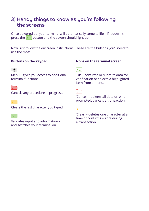### 3) Handy things to know as you're following the screens

Once powered up, your terminal will automatically come to life – if it doesn't, press the  $\overline{\circ}$  button and the screen should light up.

Now, just follow the onscreen instructions. These are the buttons you'll need to use the most:

#### **Buttons on the keypad**

#### $\circ$

Menu – gives you access to additional terminal functions.

#### $\sqrt{ }$

Cancels any procedure in progress.

Clears the last character you typed.

#### lo -

Validates input and information – and switches your terminal on.

#### **Icons on the terminal screen**



'Ok' – confirms or submits data for verification or selects a highlighted item from a menu.



'Cancel' – deletes all data or, when prompted, cancels a transaction.



'Clear' – deletes one character at a time or confirms errors during a transaction.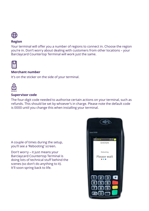

#### **Region**

Your terminal will offer you a number of regions to connect in. Choose the region you're in. Don't worry about dealing with customers from other locations – your Barclaycard Countertop Terminal will work just the same.



#### **Merchant number**

It's on the sticker on the side of your terminal.



#### **Supervisor code**

The four-digit code needed to authorise certain actions on your terminal, such as refunds. This should be set by whoever's in charge. Please note the default code is 0000 until you change this when installing your terminal.

A couple of times during the setup, you'll see a 'Rebooting' screen.

Don't worry – it just means your Barclaycard Countertop Terminal is doing lots of technical stuff behind the scenes (so don't do anything to it). It'll soon spring back to life.

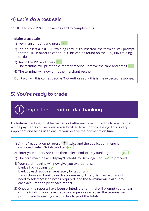### 4) Let's do a test sale

You'll need your PDQ PIN training card to complete this.

#### **Make a test sale**

- 1) Key in an amount and press  $\circ$
- 2) Tap or insert a PDQ PIN training card. If it's inserted, the terminal will prompt for the PIN in order to continue. (This can be found on the PDQ PIN training card.)
- 3) Key in the PIN and press o The terminal will print the customer receipt. Remove the card and press o
- 4) The terminal will now print the merchant receipt.

Don't worry if this comes back as 'Not Authorised' – this is the expected response.

### 5) You're ready to trade

## Important – end-of-day banking

End-of-day banking must be carried out after each day of trading to ensure that all the payments you've taken are submitted to us for processing. This is very important and helps us to ensure you receive the payments on time.

- 1) At the 'ready' prompt, press  $\bigcirc$  twice and the application menu is displayed. Select 'totals' and tap  $\sim$
- 2) Enter your supervisor code then select 'End-of-Day Banking' and tap  $\vert \circ \vee \vert$
- 3) The card machine will display 'End-of-Day Banking?' Tap  $|\sigma \vee|$  to proceed
- 4) Your card machine will now give you two options: bank all by tapping  $|o\sqrt{ }$ bank by each acquirer separately by tapping  $\leq$ If you choose to bank by each acquirer (e.g. Amex, Barclaycard), you'll need to select 'yes' or 'no' as required, and the terminal will dial out to each acquirer and print each report.
- 5) Once all the reports have been printed, the terminal will prompt you to tear off the totals. If you have gratuities or pennies enabled the terminal will prompt you to see if you would like to print the totals.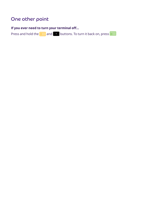## One other point

### **If you ever need to turn your terminal off…**

Press and hold the  $\left\{ \left\langle \right\rangle \right\}$  and  $\left\{ \left\langle \right\rangle \right\}$  buttons. To turn it back on, press  $\circ$